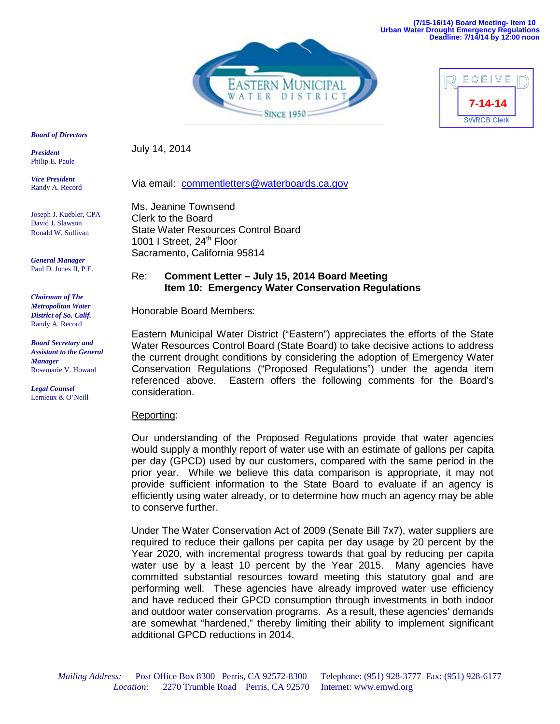**(7/15-16/14) Board Meeting- Item 10 Urban Water Drought Emergency Regulations Deadline: 7/14/14 by 12:00 noon**





#### *Board of Directors*

*President*  Philip E. Paule

*Vice President* Randy A. Record

Joseph J. Kuebler, CPA David J. Slawson Ronald W. Sullivan

*General Manager* Paul D. Jones II, P.E.

*Chairman of The Metropolitan Water District of So. Calif.*  Randy A. Record

*Board Secretary and Assistant to the General Manager* Rosemarie V. Howard

*Legal Counsel*  Lemieux & O'Neill July 14, 2014

Via email: [commentletters@waterboards.ca.gov](mailto:commentletters@waterboards.ca.gov)

Ms. Jeanine Townsend Clerk to the Board State Water Resources Control Board 1001 I Street, 24<sup>th</sup> Floor Sacramento, California 95814

# Re: **Comment Letter – July 15, 2014 Board Meeting Item 10: Emergency Water Conservation Regulations**

Honorable Board Members:

Eastern Municipal Water District ("Eastern") appreciates the efforts of the State Water Resources Control Board (State Board) to take decisive actions to address the current drought conditions by considering the adoption of Emergency Water Conservation Regulations ("Proposed Regulations") under the agenda item referenced above. Eastern offers the following comments for the Board's consideration.

### Reporting:

Our understanding of the Proposed Regulations provide that water agencies would supply a monthly report of water use with an estimate of gallons per capita per day (GPCD) used by our customers, compared with the same period in the prior year. While we believe this data comparison is appropriate, it may not provide sufficient information to the State Board to evaluate if an agency is efficiently using water already, or to determine how much an agency may be able to conserve further.

Under The Water Conservation Act of 2009 (Senate Bill 7x7), water suppliers are required to reduce their gallons per capita per day usage by 20 percent by the Year 2020, with incremental progress towards that goal by reducing per capita water use by a least 10 percent by the Year 2015. Many agencies have committed substantial resources toward meeting this statutory goal and are performing well. These agencies have already improved water use efficiency and have reduced their GPCD consumption through investments in both indoor and outdoor water conservation programs. As a result, these agencies' demands are somewhat "hardened," thereby limiting their ability to implement significant additional GPCD reductions in 2014.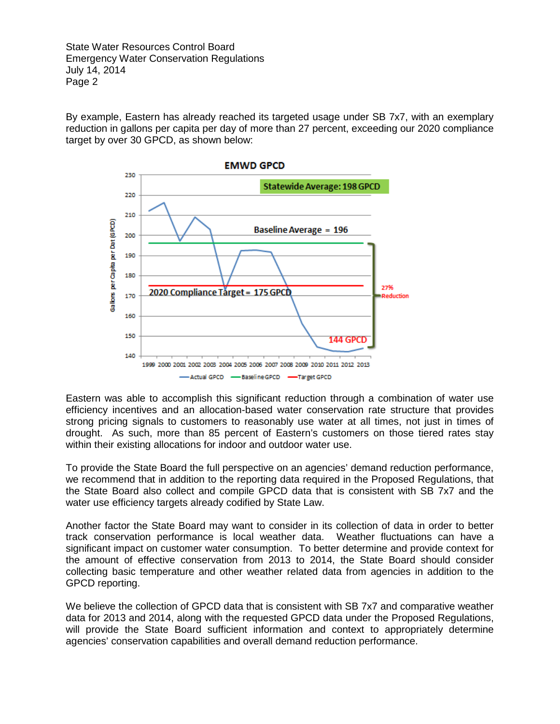State Water Resources Control Board Emergency Water Conservation Regulations July 14, 2014 Page 2

By example, Eastern has already reached its targeted usage under SB 7x7, with an exemplary reduction in gallons per capita per day of more than 27 percent, exceeding our 2020 compliance target by over 30 GPCD, as shown below:



Eastern was able to accomplish this significant reduction through a combination of water use efficiency incentives and an allocation-based water conservation rate structure that provides strong pricing signals to customers to reasonably use water at all times, not just in times of drought. As such, more than 85 percent of Eastern's customers on those tiered rates stay within their existing allocations for indoor and outdoor water use.

To provide the State Board the full perspective on an agencies' demand reduction performance, we recommend that in addition to the reporting data required in the Proposed Regulations, that the State Board also collect and compile GPCD data that is consistent with SB 7x7 and the water use efficiency targets already codified by State Law.

Another factor the State Board may want to consider in its collection of data in order to better track conservation performance is local weather data. Weather fluctuations can have a significant impact on customer water consumption. To better determine and provide context for the amount of effective conservation from 2013 to 2014, the State Board should consider collecting basic temperature and other weather related data from agencies in addition to the GPCD reporting.

We believe the collection of GPCD data that is consistent with SB 7x7 and comparative weather data for 2013 and 2014, along with the requested GPCD data under the Proposed Regulations, will provide the State Board sufficient information and context to appropriately determine agencies' conservation capabilities and overall demand reduction performance.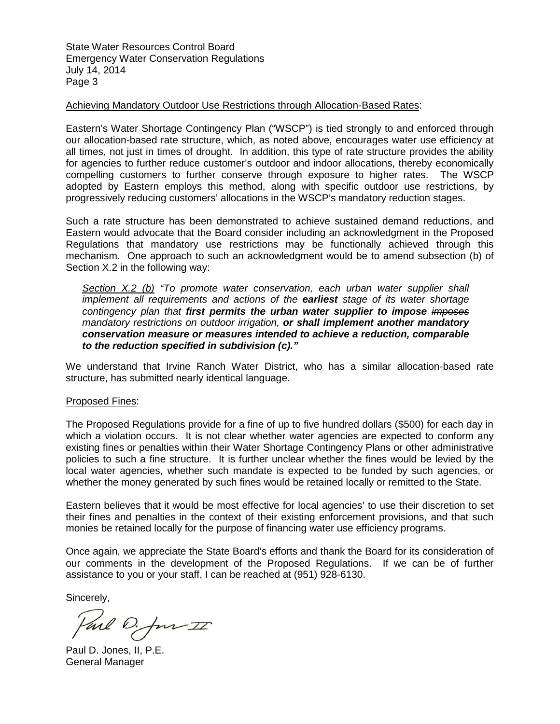State Water Resources Control Board Emergency Water Conservation Regulations July 14, 2014 Page 3

## Achieving Mandatory Outdoor Use Restrictions through Allocation-Based Rates:

Eastern's Water Shortage Contingency Plan ("WSCP") is tied strongly to and enforced through our allocation-based rate structure, which, as noted above, encourages water use efficiency at all times, not just in times of drought. In addition, this type of rate structure provides the ability for agencies to further reduce customer's outdoor and indoor allocations, thereby economically compelling customers to further conserve through exposure to higher rates. The WSCP adopted by Eastern employs this method, along with specific outdoor use restrictions, by progressively reducing customers' allocations in the WSCP's mandatory reduction stages.

Such a rate structure has been demonstrated to achieve sustained demand reductions, and Eastern would advocate that the Board consider including an acknowledgment in the Proposed Regulations that mandatory use restrictions may be functionally achieved through this mechanism. One approach to such an acknowledgment would be to amend subsection (b) of Section X.2 in the following way:

*Section X.2 (b) "To promote water conservation, each urban water supplier shall implement all requirements and actions of the earliest stage of its water shortage contingency plan that first permits the urban water supplier to impose imposes mandatory restrictions on outdoor irrigation, or shall implement another mandatory conservation measure or measures intended to achieve a reduction, comparable to the reduction specified in subdivision (c)."*

We understand that Irvine Ranch Water District, who has a similar allocation-based rate structure, has submitted nearly identical language.

## Proposed Fines:

The Proposed Regulations provide for a fine of up to five hundred dollars (\$500) for each day in which a violation occurs. It is not clear whether water agencies are expected to conform any existing fines or penalties within their Water Shortage Contingency Plans or other administrative policies to such a fine structure. It is further unclear whether the fines would be levied by the local water agencies, whether such mandate is expected to be funded by such agencies, or whether the money generated by such fines would be retained locally or remitted to the State.

Eastern believes that it would be most effective for local agencies' to use their discretion to set their fines and penalties in the context of their existing enforcement provisions, and that such monies be retained locally for the purpose of financing water use efficiency programs.

Once again, we appreciate the State Board's efforts and thank the Board for its consideration of our comments in the development of the Proposed Regulations. If we can be of further assistance to you or your staff, I can be reached at (951) 928-6130.

Sincerely,

Parl D. Jun II

Paul D. Jones, II, P.E. General Manager